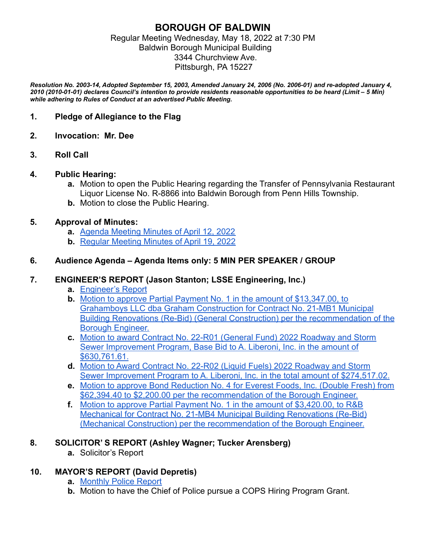### **BOROUGH OF BALDWIN** Regular Meeting Wednesday, May 18, 2022 at 7:30 PM Baldwin Borough Municipal Building 3344 Churchview Ave. Pittsburgh, PA 15227

*Resolution No. 2003-14, Adopted September 15, 2003, Amended January 24, 2006 (No. 2006-01) and re-adopted January 4, 2010 (2010-01-01) declares Council's intention to provide residents reasonable opportunities to be heard (Limit – 5 Min) while adhering to Rules of Conduct at an advertised Public Meeting.*

### **1. Pledge of Allegiance to the Flag**

- **2. Invocation: Mr. Dee**
- **3. Roll Call**

### **4. Public Hearing:**

- **a.** Motion to open the Public Hearing regarding the Transfer of Pennsylvania Restaurant Liquor License No. R-8866 into Baldwin Borough from Penn Hills Township.
- **b.** Motion to close the Public Hearing.

### **5. Approval of Minutes:**

- **a.** Agenda Meeting Minutes of April 12, 2022
- **b.** Regular Meeting Minutes of April 19, 2022

### **6. Audience Agenda – Agenda Items only: 5 MIN PER SPEAKER / GROUP**

### **7. ENGINEER'S REPORT (Jason Stanton; LSSE Engineering, Inc.)**

- **a.** Engineer's Report
- **b.** Motion to approve Partial Payment No. 1 in the amount of \$13,347.00, to Grahamboys LLC dba Graham Construction for Contract No. 21-MB1 Municipal Building Renovations (Re-Bid) (General Construction) per the recommendation of the Borough Engineer.
- **c.** Motion to award Contract No. 22-R01 (General Fund) 2022 Roadway and Storm Sewer Improvement Program, Base Bid to A. Liberoni, Inc. in the amount of \$630,761.61.
- **d.** Motion to Award Contract No. 22-R02 (Liquid Fuels) 2022 Roadway and Storm Sewer Improvement Program to A. Liberoni, Inc. in the total amount of \$274,517.02.
- **e.** Motion to approve Bond Reduction No. 4 for Everest Foods, Inc. (Double Fresh) from \$62,394.40 to \$2,200.00 per the recommendation of the Borough Engineer.
- **f.** Motion to approve Partial Payment No. 1 in the amount of \$3,420.00, to R&B Mechanical for Contract No. 21-MB4 Municipal Building Renovations (Re-Bid) (Mechanical Construction) per the recommendation of the Borough Engineer.

### **8. SOLICITOR' S REPORT (Ashley Wagner; Tucker Arensberg)**

**a.** Solicitor's Report

### **10. MAYOR'S REPORT (David Depretis)**

- **a.** Monthly Police Report
- **b.** Motion to have the Chief of Police pursue a COPS Hiring Program Grant.